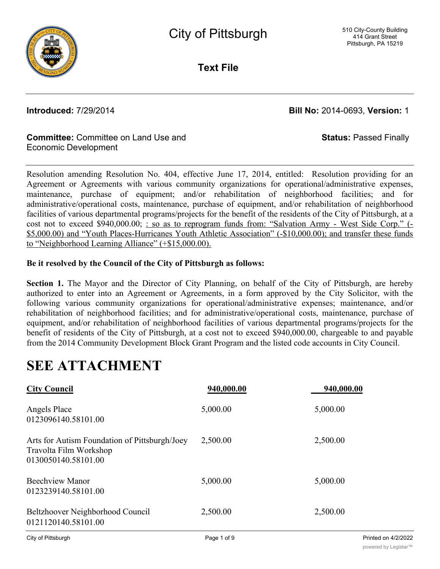

**Text File**

**Introduced:** 7/29/2014 **Bill No:** 2014-0693, **Version:** 1

**Status:** Passed Finally

#### **Committee:** Committee on Land Use and Economic Development

Resolution amending Resolution No. 404, effective June 17, 2014, entitled: Resolution providing for an Agreement or Agreements with various community organizations for operational/administrative expenses, maintenance, purchase of equipment; and/or rehabilitation of neighborhood facilities; and for administrative/operational costs, maintenance, purchase of equipment, and/or rehabilitation of neighborhood facilities of various departmental programs/projects for the benefit of the residents of the City of Pittsburgh, at a cost not to exceed \$940,000.00; : so as to reprogram funds from: "Salvation Army - West Side Corp." (-\$5,000.00) and "Youth Places-Hurricanes Youth Athletic Association" (-\$10,000.00); and transfer these funds to "Neighborhood Learning Alliance" (+\$15,000.00).

### **Be it resolved by the Council of the City of Pittsburgh as follows:**

**Section 1.** The Mayor and the Director of City Planning, on behalf of the City of Pittsburgh, are hereby authorized to enter into an Agreement or Agreements, in a form approved by the City Solicitor, with the following various community organizations for operational/administrative expenses; maintenance, and/or rehabilitation of neighborhood facilities; and for administrative/operational costs, maintenance, purchase of equipment, and/or rehabilitation of neighborhood facilities of various departmental programs/projects for the benefit of residents of the City of Pittsburgh, at a cost not to exceed \$940,000.00, chargeable to and payable from the 2014 Community Development Block Grant Program and the listed code accounts in City Council.

# **SEE ATTACHMENT**

| <b>City Council</b>                                                                            | 940,000.00 | 940,000.00 |
|------------------------------------------------------------------------------------------------|------------|------------|
| Angels Place<br>0123096140.58101.00                                                            | 5,000.00   | 5,000.00   |
| Arts for Autism Foundation of Pittsburgh/Joey<br>Travolta Film Workshop<br>0130050140.58101.00 | 2,500.00   | 2,500.00   |
| <b>Beechview Manor</b><br>0123239140.58101.00                                                  | 5,000.00   | 5,000.00   |
| Beltzhoover Neighborhood Council<br>0121120140.58101.00                                        | 2,500.00   | 2,500.00   |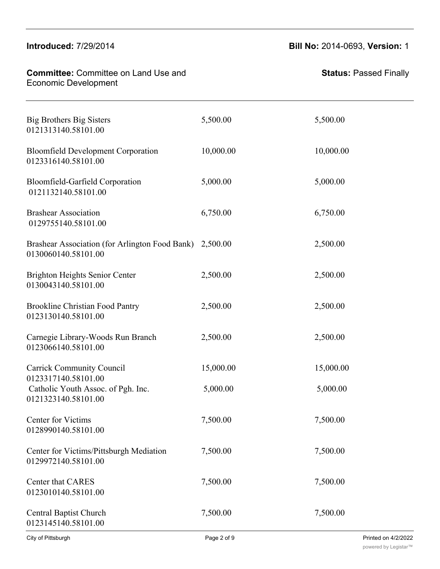Travolta Film Workshop

| <b>Committee: Committee on Land Use and</b><br><b>Economic Development</b>       |                        | <b>Status: Passed Finally</b> |
|----------------------------------------------------------------------------------|------------------------|-------------------------------|
| <b>Big Brothers Big Sisters</b><br>0121313140.58101.00                           | 5,500.00               | 5,500.00                      |
| <b>Bloomfield Development Corporation</b><br>0123316140.58101.00                 | 10,000.00              | 10,000.00                     |
| Bloomfield-Garfield Corporation<br>0121132140.58101.00                           | 5,000.00               | 5,000.00                      |
| <b>Brashear Association</b><br>0129755140.58101.00                               | 6,750.00               | 6,750.00                      |
| Brashear Association (for Arlington Food Bank) 2,500.00<br>0130060140.58101.00   |                        | 2,500.00                      |
| <b>Brighton Heights Senior Center</b><br>0130043140.58101.00                     | 2,500.00               | 2,500.00                      |
| <b>Brookline Christian Food Pantry</b><br>0123130140.58101.00                    | 2,500.00               | 2,500.00                      |
| Carnegie Library-Woods Run Branch<br>0123066140.58101.00                         | 2,500.00               | 2,500.00                      |
| <b>Carrick Community Council</b>                                                 | 15,000.00              | 15,000.00                     |
| 0123317140.58101.00<br>Catholic Youth Assoc. of Pgh. Inc.<br>0121323140.58101.00 | 5,000.00               | 5,000.00                      |
| Center for Victims<br>0128990140.58101.00                                        | 7,500.00               | 7,500.00                      |
| Center for Victims/Pittsburgh Mediation<br>0129972140.58101.00                   | 7,500.00               | 7,500.00                      |
| Center that CARES<br>0123010140.58101.00                                         | 7,500.00               | 7,500.00                      |
| <b>Central Baptist Church</b><br>0123145140.58101.00                             | 7,500.00               | 7,500.00                      |
| $C$ ity of Dittoburak                                                            | $Dao \cap \cap f \cap$ | Diriched on A00022            |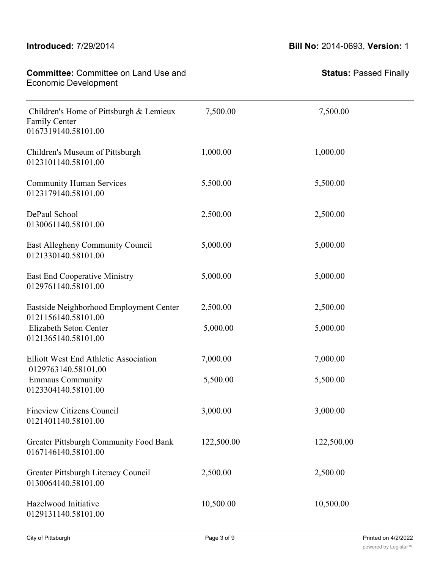# **Introduced:** 7/29/2014 **Bill No:** 2014-0693, **Version:** 1

| <b>Committee: Committee on Land Use and</b><br><b>Economic Development</b>             |            | <b>Status: Passed Finally</b> |
|----------------------------------------------------------------------------------------|------------|-------------------------------|
| Children's Home of Pittsburgh & Lemieux<br><b>Family Center</b><br>0167319140.58101.00 | 7,500.00   | 7,500.00                      |
| Children's Museum of Pittsburgh<br>0123101140.58101.00                                 | 1,000.00   | 1,000.00                      |
| <b>Community Human Services</b><br>0123179140.58101.00                                 | 5,500.00   | 5,500.00                      |
| DePaul School<br>0130061140.58101.00                                                   | 2,500.00   | 2,500.00                      |
| East Allegheny Community Council<br>0121330140.58101.00                                | 5,000.00   | 5,000.00                      |
| <b>East End Cooperative Ministry</b><br>0129761140.58101.00                            | 5,000.00   | 5,000.00                      |
| Eastside Neighborhood Employment Center<br>0121156140.58101.00                         | 2,500.00   | 2,500.00                      |
| Elizabeth Seton Center<br>0121365140.58101.00                                          | 5,000.00   | 5,000.00                      |
| <b>Elliott West End Athletic Association</b><br>0129763140.58101.00                    | 7,000.00   | 7,000.00                      |
| <b>Emmaus Community</b><br>0123304140.58101.00                                         | 5,500.00   | 5,500.00                      |
| <b>Fineview Citizens Council</b><br>0121401140.58101.00                                | 3,000.00   | 3,000.00                      |
| <b>Greater Pittsburgh Community Food Bank</b><br>0167146140.58101.00                   | 122,500.00 | 122,500.00                    |
| Greater Pittsburgh Literacy Council<br>0130064140.58101.00                             | 2,500.00   | 2,500.00                      |
| Hazelwood Initiative<br>0129131140.58101.00                                            | 10,500.00  | 10,500.00                     |

Center for Victims/Pittsburgh Mediation 7,500.00 7,500.00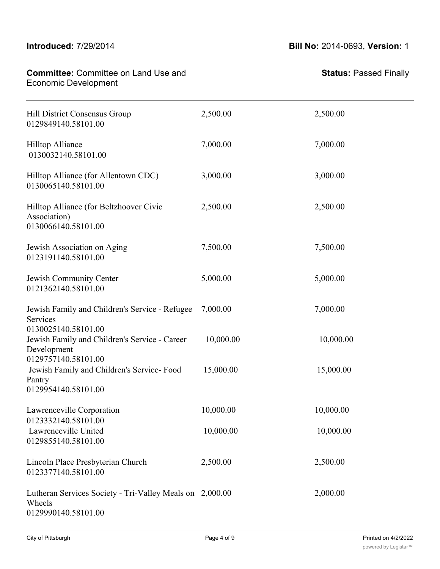# $G$ reater  $G$   $\overline{G}$   $\overline{G}$   $\overline{G}$   $\overline{G}$   $\overline{G}$   $\overline{G}$   $\overline{G}$   $\overline{G}$   $\overline{G}$   $\overline{G}$   $\overline{G}$   $\overline{G}$   $\overline{G}$   $\overline{G}$   $\overline{G}$   $\overline{G}$   $\overline{G}$   $\overline{G}$   $\overline{G}$   $\overline{G}$   $\overline{G}$   $\overline{G}$   $\overline{G}$

0167146140.58101.00

| <b>Committee: Committee on Land Use and</b><br><b>Economic Development</b>                        |           | <b>Status: Passed Finally</b> |
|---------------------------------------------------------------------------------------------------|-----------|-------------------------------|
| Hill District Consensus Group<br>0129849140.58101.00                                              | 2,500.00  | 2,500.00                      |
| <b>Hilltop Alliance</b><br>0130032140.58101.00                                                    | 7,000.00  | 7,000.00                      |
| Hilltop Alliance (for Allentown CDC)<br>0130065140.58101.00                                       | 3,000.00  | 3,000.00                      |
| Hilltop Alliance (for Beltzhoover Civic<br>Association)<br>0130066140.58101.00                    | 2,500.00  | 2,500.00                      |
| Jewish Association on Aging<br>0123191140.58101.00                                                | 7,500.00  | 7,500.00                      |
| Jewish Community Center<br>0121362140.58101.00                                                    | 5,000.00  | 5,000.00                      |
| Jewish Family and Children's Service - Refugee<br>Services                                        | 7,000.00  | 7,000.00                      |
| 0130025140.58101.00<br>Jewish Family and Children's Service - Career<br>Development               | 10,000.00 | 10,000.00                     |
| 0129757140.58101.00<br>Jewish Family and Children's Service-Food<br>Pantry<br>0129954140.58101.00 | 15,000.00 | 15,000.00                     |
| Lawrenceville Corporation<br>0123332140.58101.00                                                  | 10,000.00 | 10,000.00                     |
| Lawrenceville United<br>0129855140.58101.00                                                       | 10,000.00 | 10,000.00                     |
| Lincoln Place Presbyterian Church<br>0123377140.58101.00                                          | 2,500.00  | 2,500.00                      |
| Lutheran Services Society - Tri-Valley Meals on 2,000.00<br>Wheels<br>0129990140.58101.00         |           | 2,000.00                      |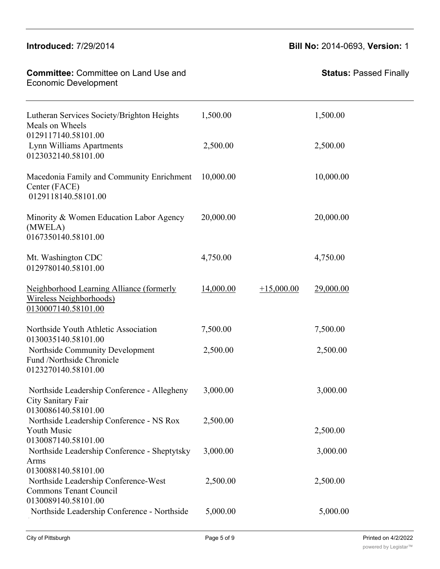| <b>Committee: Committee on Land Use and</b><br><b>Economic Development</b>                                          |           |              | <b>Status: Passed Finally</b> |
|---------------------------------------------------------------------------------------------------------------------|-----------|--------------|-------------------------------|
| Lutheran Services Society/Brighton Heights<br>Meals on Wheels<br>0129117140.58101.00                                | 1,500.00  |              | 1,500.00                      |
| Lynn Williams Apartments<br>0123032140.58101.00                                                                     | 2,500.00  |              | 2,500.00                      |
| Macedonia Family and Community Enrichment<br>Center (FACE)<br>0129118140.58101.00                                   | 10,000.00 |              | 10,000.00                     |
| Minority & Women Education Labor Agency<br>(MWELA)<br>0167350140.58101.00                                           | 20,000.00 |              | 20,000.00                     |
| Mt. Washington CDC<br>0129780140.58101.00                                                                           | 4,750.00  |              | 4,750.00                      |
| Neighborhood Learning Alliance (formerly<br>Wireless Neighborhoods)<br>0130007140.58101.00                          | 14,000.00 | $+15,000.00$ | 29,000.00                     |
| Northside Youth Athletic Association<br>0130035140.58101.00                                                         | 7,500.00  |              | 7,500.00                      |
| Northside Community Development<br>Fund /Northside Chronicle<br>0123270140.58101.00                                 | 2,500.00  |              | 2,500.00                      |
| Northside Leadership Conference - Allegheny<br>City Sanitary Fair<br>0130086140.58101.00                            | 3,000.00  |              | 3,000.00                      |
| Northside Leadership Conference - NS Rox<br>Youth Music<br>0130087140.58101.00                                      | 2,500.00  |              | 2,500.00                      |
| Northside Leadership Conference - Sheptytsky<br>Arms                                                                | 3,000.00  |              | 3,000.00                      |
| 0130088140.58101.00<br>Northside Leadership Conference-West<br><b>Commons Tenant Council</b><br>0130089140.58101.00 | 2,500.00  |              | 2,500.00                      |
| Northside Leadership Conference - Northside                                                                         | 5,000.00  |              | 5,000.00                      |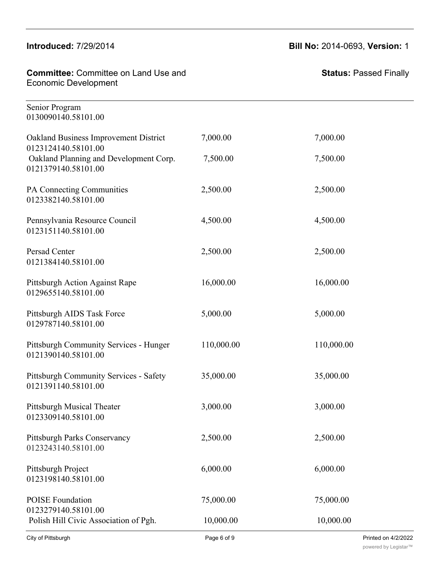### <u>Intro</u>

0130087140.58101.00

| <b>Committee: Committee on Land Use and</b><br><b>Economic Development</b> |            | <b>Status: Passed Finally</b> |
|----------------------------------------------------------------------------|------------|-------------------------------|
| Senior Program<br>0130090140.58101.00                                      |            |                               |
| Oakland Business Improvement District<br>0123124140.58101.00               | 7,000.00   | 7,000.00                      |
| Oakland Planning and Development Corp.<br>0121379140.58101.00              | 7,500.00   | 7,500.00                      |
| PA Connecting Communities<br>0123382140.58101.00                           | 2,500.00   | 2,500.00                      |
| Pennsylvania Resource Council<br>0123151140.58101.00                       | 4,500.00   | 4,500.00                      |
| Persad Center<br>0121384140.58101.00                                       | 2,500.00   | 2,500.00                      |
| Pittsburgh Action Against Rape<br>0129655140.58101.00                      | 16,000.00  | 16,000.00                     |
| Pittsburgh AIDS Task Force<br>0129787140.58101.00                          | 5,000.00   | 5,000.00                      |
| <b>Pittsburgh Community Services - Hunger</b><br>0121390140.58101.00       | 110,000.00 | 110,000.00                    |
| <b>Pittsburgh Community Services - Safety</b><br>0121391140.58101.00       | 35,000.00  | 35,000.00                     |
| Pittsburgh Musical Theater<br>0123309140.58101.00                          | 3,000.00   | 3,000.00                      |
| Pittsburgh Parks Conservancy<br>0123243140.58101.00                        | 2,500.00   | 2,500.00                      |
| Pittsburgh Project<br>0123198140.58101.00                                  | 6,000.00   | 6,000.00                      |
| <b>POISE</b> Foundation<br>0123279140.58101.00                             | 75,000.00  | 75,000.00                     |
| Polish Hill Civic Association of Pgh.                                      | 10,000.00  | 10,000.00                     |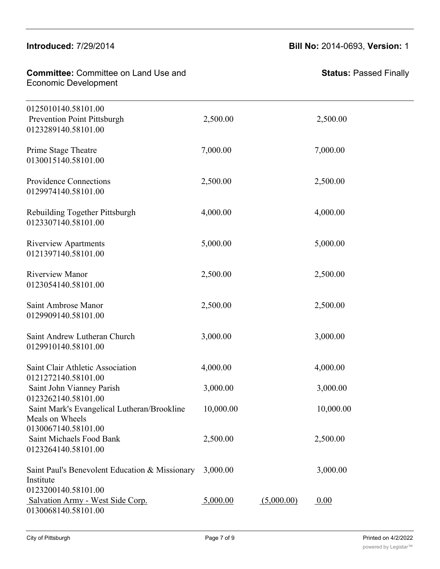0123243140.58101.00

| <b>Committee: Committee on Land Use and</b><br><b>Economic Development</b>            |           |            | <b>Status: Passed Finally</b> |
|---------------------------------------------------------------------------------------|-----------|------------|-------------------------------|
| 0125010140.58101.00<br>Prevention Point Pittsburgh<br>0123289140.58101.00             | 2,500.00  |            | 2,500.00                      |
| Prime Stage Theatre<br>0130015140.58101.00                                            | 7,000.00  |            | 7,000.00                      |
| Providence Connections<br>0129974140.58101.00                                         | 2,500.00  |            | 2,500.00                      |
| Rebuilding Together Pittsburgh<br>0123307140.58101.00                                 | 4,000.00  |            | 4,000.00                      |
| <b>Riverview Apartments</b><br>0121397140.58101.00                                    | 5,000.00  |            | 5,000.00                      |
| <b>Riverview Manor</b><br>0123054140.58101.00                                         | 2,500.00  |            | 2,500.00                      |
| Saint Ambrose Manor<br>0129909140.58101.00                                            | 2,500.00  |            | 2,500.00                      |
| Saint Andrew Lutheran Church<br>0129910140.58101.00                                   | 3,000.00  |            | 3,000.00                      |
| Saint Clair Athletic Association<br>0121272140.58101.00                               | 4,000.00  |            | 4,000.00                      |
| Saint John Vianney Parish                                                             | 3,000.00  |            | 3,000.00                      |
| 0123262140.58101.00<br>Saint Mark's Evangelical Lutheran/Brookline<br>Meals on Wheels | 10,000.00 |            | 10,000.00                     |
| 0130067140.58101.00<br>Saint Michaels Food Bank<br>0123264140.58101.00                | 2,500.00  |            | 2,500.00                      |
| Saint Paul's Benevolent Education & Missionary<br>Institute                           | 3,000.00  |            | 3,000.00                      |
| 0123200140.58101.00<br>Salvation Army - West Side Corp.<br>0130068140.58101.00        | 5,000.00  | (5,000.00) | 0.00                          |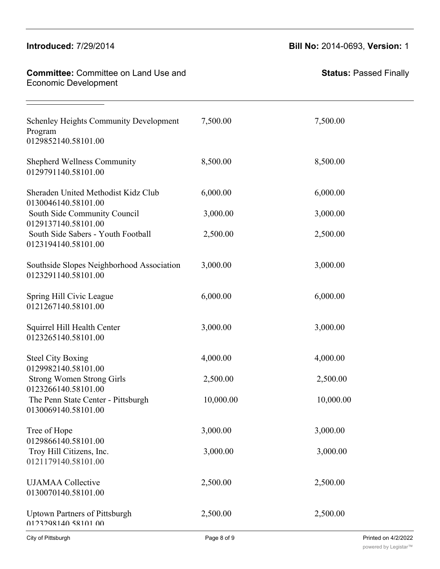| <b>Introduced: 7/29/2014</b>                                                     |           | <b>Bill No: 2014-0693, Version: 1</b> |
|----------------------------------------------------------------------------------|-----------|---------------------------------------|
| <b>Committee: Committee on Land Use and</b><br><b>Economic Development</b>       |           | <b>Status: Passed Finally</b>         |
| <b>Schenley Heights Community Development</b><br>Program<br>0129852140.58101.00  | 7,500.00  | 7,500.00                              |
| <b>Shepherd Wellness Community</b><br>0129791140.58101.00                        | 8,500.00  | 8,500.00                              |
| Sheraden United Methodist Kidz Club<br>0130046140.58101.00                       | 6,000.00  | 6,000.00                              |
| South Side Community Council<br>0129137140.58101.00                              | 3,000.00  | 3,000.00                              |
| South Side Sabers - Youth Football<br>0123194140.58101.00                        | 2,500.00  | 2,500.00                              |
| Southside Slopes Neighborhood Association<br>0123291140.58101.00                 | 3,000.00  | 3,000.00                              |
| Spring Hill Civic League<br>0121267140.58101.00                                  | 6,000.00  | 6,000.00                              |
| Squirrel Hill Health Center<br>0123265140.58101.00                               | 3,000.00  | 3,000.00                              |
| <b>Steel City Boxing</b>                                                         | 4,000.00  | 4,000.00                              |
| 0129982140.58101.00<br><b>Strong Women Strong Girls</b>                          | 2,500.00  | 2,500.00                              |
| 0123266140.58101.00<br>The Penn State Center - Pittsburgh<br>0130069140.58101.00 | 10,000.00 | 10,000.00                             |
| Tree of Hope                                                                     | 3,000.00  | 3,000.00                              |
| 0129866140.58101.00<br>Troy Hill Citizens, Inc.<br>0121179140.58101.00           | 3,000.00  | 3,000.00                              |
| <b>UJAMAA</b> Collective<br>0130070140.58101.00                                  | 2,500.00  | 2,500.00                              |
| <b>Uptown Partners of Pittsburgh</b><br>0123298140 58101 00                      | 2,500.00  | 2,500.00                              |

 $S_{\rm eff}$   $S_{\rm eff}$   $S_{\rm eff}$   $S_{\rm eff}$   $S_{\rm eff}$   $S_{\rm eff}$   $S_{\rm eff}$   $S_{\rm eff}$   $S_{\rm eff}$   $S_{\rm eff}$   $S_{\rm eff}$   $S_{\rm eff}$   $S_{\rm eff}$   $S_{\rm eff}$   $S_{\rm eff}$   $S_{\rm eff}$   $S_{\rm eff}$   $S_{\rm eff}$   $S_{\rm eff}$   $S_{\rm eff}$   $S_{\rm eff}$   $S_{\rm eff}$   $S_{\rm eff}$   $S_{\rm eff}$   $S_{\rm$